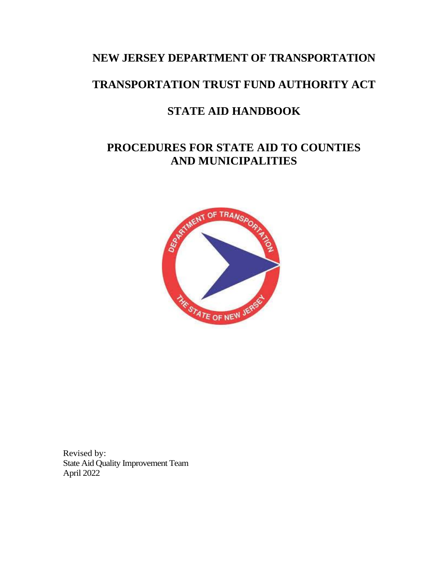# **NEW JERSEY DEPARTMENT OF TRANSPORTATION**

# **TRANSPORTATION TRUST FUND AUTHORITY ACT**

# **STATE AID HANDBOOK**

# **PROCEDURES FOR STATE AID TO COUNTIES AND MUNICIPALITIES**



Revised by: State Aid Quality Improvement Team April 2022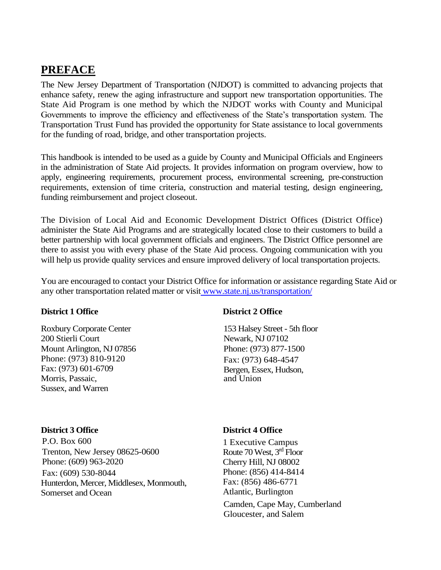# **PREFACE**

The New Jersey Department of Transportation (NJDOT) is committed to advancing projects that enhance safety, renew the aging infrastructure and support new transportation opportunities. The State Aid Program is one method by which the NJDOT works with County and Municipal Governments to improve the efficiency and effectiveness of the State's transportation system. The Transportation Trust Fund has provided the opportunity for State assistance to local governments for the funding of road, bridge, and other transportation projects.

This handbook is intended to be used as a guide by County and Municipal Officials and Engineers in the administration of State Aid projects. It provides information on program overview, how to apply, engineering requirements, procurement process, environmental screening, pre-construction requirements, extension of time criteria, construction and material testing, design engineering, funding reimbursement and project closeout.

The Division of Local Aid and Economic Development District Offices (District Office) administer the State Aid Programs and are strategically located close to their customers to build a better partnership with local government officials and engineers. The District Office personnel are there to assist you with every phase of the State Aid process. Ongoing communication with you will help us provide quality services and ensure improved delivery of local transportation projects.

You are encouraged to contact your District Office for information or assistance regarding State Aid or any other transportation related matter or visit [www.state.nj.us/transportation/](http://www.state.nj.us/transportation/)

Roxbury Corporate Center 200 Stierli Court Mount Arlington, NJ 07856 Phone: (973) 810-9120 Fax: (973) 601-6709 Morris, Passaic, Sussex, and Warren

P.O. Box 600 Trenton, New Jersey 08625-0600 Phone: (609) 963-2020 Fax: (609) 530-8044 Hunterdon, Mercer, Middlesex, Monmouth, Somerset and Ocean

#### **District 1 Office District 2 Office**

153 Halsey Street - 5th floor Newark, NJ 07102 Phone: (973) 877-1500 Fax: (973) 648-4547 Bergen, Essex, Hudson, and Union

#### **District 3 Office District 4 Office**

1 Executive Campus Route 70 West, 3rd Floor Cherry Hill, NJ 08002 Phone: (856) 414-8414 Fax: (856) 486-6771 Atlantic, Burlington

Camden, Cape May, Cumberland Gloucester, and Salem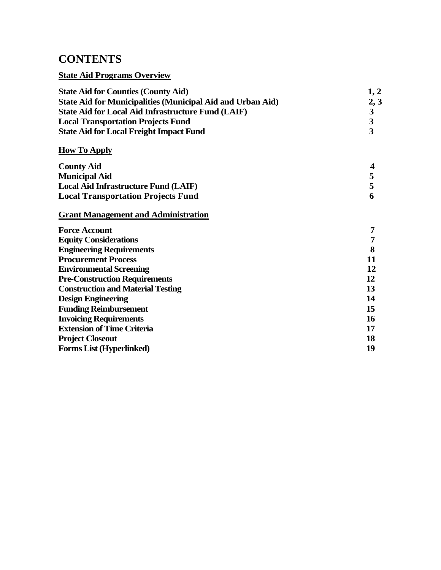# **CONTENTS**

### **State Aid Programs Overview**

| <b>State Aid for Counties (County Aid)</b>                                                                                                               | 1, 2                                     |                     |   |
|----------------------------------------------------------------------------------------------------------------------------------------------------------|------------------------------------------|---------------------|---|
| <b>State Aid for Municipalities (Municipal Aid and Urban Aid)</b>                                                                                        | 2, 3                                     |                     |   |
| <b>State Aid for Local Aid Infrastructure Fund (LAIF)</b><br><b>Local Transportation Projects Fund</b><br><b>State Aid for Local Freight Impact Fund</b> | $\frac{3}{3}$<br>$\overline{\mathbf{3}}$ |                     |   |
|                                                                                                                                                          |                                          | <b>How To Apply</b> |   |
|                                                                                                                                                          |                                          | <b>County Aid</b>   | 4 |
| <b>Municipal Aid</b>                                                                                                                                     | $\frac{5}{5}$                            |                     |   |
| <b>Local Aid Infrastructure Fund (LAIF)</b>                                                                                                              |                                          |                     |   |
| <b>Local Transportation Projects Fund</b>                                                                                                                | 6                                        |                     |   |
| <b>Grant Management and Administration</b>                                                                                                               |                                          |                     |   |
| <b>Force Account</b>                                                                                                                                     | 7                                        |                     |   |
| <b>Equity Considerations</b>                                                                                                                             | 7                                        |                     |   |
| <b>Engineering Requirements</b>                                                                                                                          | 8                                        |                     |   |
| <b>Procurement Process</b>                                                                                                                               | 11                                       |                     |   |
| <b>Environmental Screening</b>                                                                                                                           | 12                                       |                     |   |
| <b>Pre-Construction Requirements</b>                                                                                                                     | 12                                       |                     |   |
| <b>Construction and Material Testing</b>                                                                                                                 | 13                                       |                     |   |
| <b>Design Engineering</b>                                                                                                                                | 14                                       |                     |   |
| <b>Funding Reimbursement</b>                                                                                                                             | 15                                       |                     |   |
| <b>Invoicing Requirements</b>                                                                                                                            | 16                                       |                     |   |
| <b>Extension of Time Criteria</b>                                                                                                                        | 17                                       |                     |   |
| <b>Project Closeout</b>                                                                                                                                  | 18                                       |                     |   |
| Forms List (Hyperlinked)                                                                                                                                 | 19                                       |                     |   |
|                                                                                                                                                          |                                          |                     |   |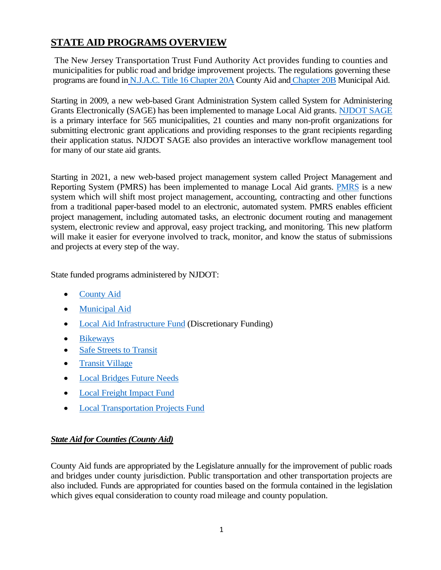# **STATE AID PROGRAMS OVERVIEW**

The New Jersey Transportation Trust Fund Authority Act provides funding to counties and municipalities for public road and bridge improvement projects. The regulations governing these programs are found in [N.J.A.C. Title 16 Chapter 20A](https://www.state.nj.us/transportation/contribute/business/localaid/documents/CountyAidRegulations7-29-21_000.pdf) County Aid and [Chapter 20B](https://www.state.nj.us/transportation/contribute/business/localaid/documents/16-20B-Current.pdf) Municipal Aid.

Starting in 2009, a new web-based Grant Administration System called System for Administering Grants Electronically (SAGE) has been implemented to manage Local Aid grants. [NJDOT SAGE](https://www.state.nj.us/transportation/business/localaid/sage.shtm) is a primary interface for 565 municipalities, 21 counties and many non-profit organizations for submitting electronic grant applications and providing responses to the grant recipients regarding their application status. NJDOT SAGE also provides an interactive workflow management tool for many of our state aid grants.

Starting in 2021, a new web-based project management system called Project Management and Reporting System (PMRS) has been implemented to manage Local Aid grants. [PMRS](https://www.njdotlocalaidrc.com/pmrs/) is a new system which will shift most project management, accounting, contracting and other functions from a traditional paper-based model to an electronic, automated system. PMRS enables efficient project management, including automated tasks, an electronic document routing and management system, electronic review and approval, easy project tracking, and monitoring. This new platform will make it easier for everyone involved to track, monitor, and know the status of submissions and projects at every step of the way.

State funded programs administered by NJDOT:

- [County Aid](https://www.state.nj.us/transportation/business/localaid/countyaid.shtm)
- [Municipal Aid](https://www.state.nj.us/transportation/business/localaid/municaid.shtm)
- [Local Aid Infrastructure Fund](https://www.state.nj.us/transportation/business/localaid/descrfunding.shtm) (Discretionary Funding)
- [Bikeways](https://www.state.nj.us/transportation/business/localaid/bikewaysf.shtm)
- [Safe Streets to Transit](https://www.state.nj.us/transportation/business/localaid/safe.shtm)
- [Transit Village](https://www.state.nj.us/transportation/business/localaid/transitvillagef.shtm)
- [Local Bridges Future Needs](https://www.state.nj.us/transportation/business/localaid/localbridges.shtm)
- [Local Freight Impact Fund](https://www.state.nj.us/transportation/business/localaid/localfreight.shtm)
- [Local Transportation Projects Fund](https://njdotlocalaidrc.com/state-funded-programs/local-transportation-projects-fund)

### *State Aid for Counties (County Aid)*

County Aid funds are appropriated by the Legislature annually for the improvement of public roads and bridges under county jurisdiction. Public transportation and other transportation projects are also included. Funds are appropriated for counties based on the formula contained in the legislation which gives equal consideration to county road mileage and county population.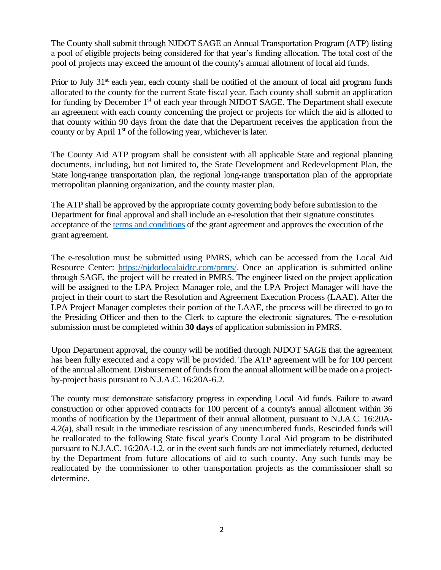The County shall submit through NJDOT SAGE an Annual Transportation Program (ATP) listing a pool of eligible projects being considered for that year's funding allocation. The total cost of the pool of projects may exceed the amount of the county's annual allotment of local aid funds.

Prior to July  $31<sup>st</sup>$  each year, each county shall be notified of the amount of local aid program funds allocated to the county for the current State fiscal year. Each county shall submit an application for funding by December 1<sup>st</sup> of each year through NJDOT SAGE. The Department shall execute an agreement with each county concerning the project or projects for which the aid is allotted to that county within 90 days from the date that the Department receives the application from the county or by April  $1<sup>st</sup>$  of the following year, whichever is later.

The County Aid ATP program shall be consistent with all applicable State and regional planning documents, including, but not limited to, the State Development and Redevelopment Plan, the State long-range transportation plan, the regional long-range transportation plan of the appropriate metropolitan planning organization, and the county master plan.

The ATP shall be approved by the appropriate county governing body before submission to the Department for final approval and shall include an e-resolution that their signature constitutes acceptance of the [terms and conditions](https://www.state.nj.us/transportation/contribute/business/localaid/documents/SAATandC_01_2022.pdf) of the grant agreement and approves the execution of the grant agreement.

The e-resolution must be submitted using PMRS, which can be accessed from the Local Aid Resource Center: [https://njdotlocalaidrc.com/pmrs/.](https://njdotlocalaidrc.com/pmrs/) Once an application is submitted online through SAGE, the project will be created in PMRS. The engineer listed on the project application will be assigned to the LPA Project Manager role, and the LPA Project Manager will have the project in their court to start the Resolution and Agreement Execution Process (LAAE). After the LPA Project Manager completes their portion of the LAAE, the process will be directed to go to the Presiding Officer and then to the Clerk to capture the electronic signatures. The e-resolution submission must be completed within **30 days** of application submission in PMRS.

Upon Department approval, the county will be notified through NJDOT SAGE that the agreement has been fully executed and a copy will be provided. The ATP agreement will be for 100 percent of the annual allotment. Disbursement of funds from the annual allotment will be made on a projectby-project basis pursuant to N.J.A.C. 16:20A-6.2.

The county must demonstrate satisfactory progress in expending Local Aid funds. Failure to award construction or other approved contracts for 100 percent of a county's annual allotment within 36 months of notification by the Department of their annual allotment, pursuant to N.J.A.C. 16:20A-4.2(a), shall result in the immediate rescission of any unencumbered funds. Rescinded funds will be reallocated to the following State fiscal year's County Local Aid program to be distributed pursuant to N.J.A.C. 16:20A-1.2, or in the event such funds are not immediately returned, deducted by the Department from future allocations of aid to such county. Any such funds may be reallocated by the commissioner to other transportation projects as the commissioner shall so determine.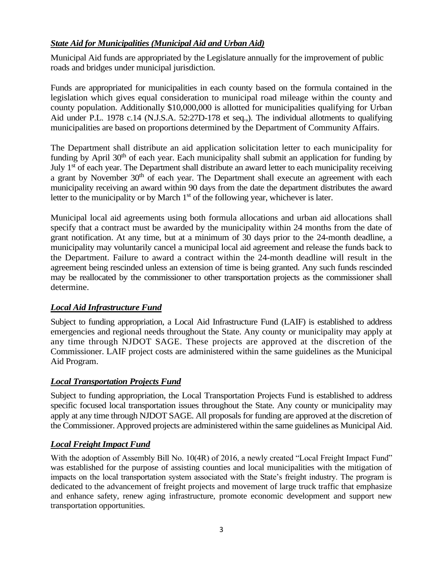### *State Aid for Municipalities (Municipal Aid and Urban Aid)*

Municipal Aid funds are appropriated by the Legislature annually for the improvement of public roads and bridges under municipal jurisdiction.

Funds are appropriated for municipalities in each county based on the formula contained in the legislation which gives equal consideration to municipal road mileage within the county and county population. Additionally \$10,000,000 is allotted for municipalities qualifying for Urban Aid under P.L. 1978 c.14 (N.J.S.A. 52:27D-178 et seq.,). The individual allotments to qualifying municipalities are based on proportions determined by the Department of Community Affairs.

The Department shall distribute an aid application solicitation letter to each municipality for funding by April  $30<sup>th</sup>$  of each year. Each municipality shall submit an application for funding by July 1<sup>st</sup> of each year. The Department shall distribute an award letter to each municipality receiving a grant by November  $30<sup>th</sup>$  of each year. The Department shall execute an agreement with each municipality receiving an award within 90 days from the date the department distributes the award letter to the municipality or by March  $1<sup>st</sup>$  of the following year, whichever is later.

Municipal local aid agreements using both formula allocations and urban aid allocations shall specify that a contract must be awarded by the municipality within 24 months from the date of grant notification. At any time, but at a minimum of 30 days prior to the 24-month deadline, a municipality may voluntarily cancel a municipal local aid agreement and release the funds back to the Department. Failure to award a contract within the 24-month deadline will result in the agreement being rescinded unless an extension of time is being granted. Any such funds rescinded may be reallocated by the commissioner to other transportation projects as the commissioner shall determine.

### *Local Aid Infrastructure Fund*

Subject to funding appropriation, a Local Aid Infrastructure Fund (LAIF) is established to address emergencies and regional needs throughout the State. Any county or municipality may apply at any time through NJDOT SAGE. These projects are approved at the discretion of the Commissioner. LAIF project costs are administered within the same guidelines as the Municipal Aid Program.

### *Local Transportation Projects Fund*

Subject to funding appropriation, the Local Transportation Projects Fund is established to address specific focused local transportation issues throughout the State. Any county or municipality may apply at any time through NJDOT SAGE. All proposals for funding are approved at the discretion of the Commissioner. Approved projects are administered within the same guidelines as Municipal Aid.

# *Local Freight Impact Fund*

With the adoption of Assembly Bill No. 10(4R) of 2016, a newly created "Local Freight Impact Fund" was established for the purpose of assisting counties and local municipalities with the mitigation of impacts on the local transportation system associated with the State's freight industry. The program is dedicated to the advancement of freight projects and movement of large truck traffic that emphasize and enhance safety, renew aging infrastructure, promote economic development and support new transportation opportunities.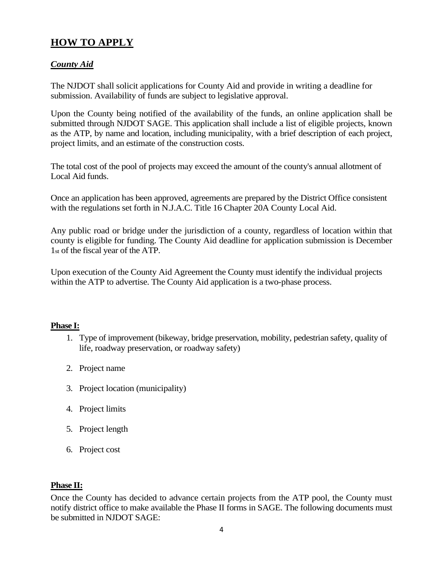# **HOW TO APPLY**

### *County Aid*

The NJDOT shall solicit applications for County Aid and provide in writing a deadline for submission. Availability of funds are subject to legislative approval.

Upon the County being notified of the availability of the funds, an online application shall be submitted through NJDOT SAGE. This application shall include a list of eligible projects, known as the ATP, by name and location, including municipality, with a brief description of each project, project limits, and an estimate of the construction costs.

The total cost of the pool of projects may exceed the amount of the county's annual allotment of Local Aid funds.

Once an application has been approved, agreements are prepared by the District Office consistent with the regulations set forth in N.J.A.C. Title 16 Chapter 20A County Local Aid.

Any public road or bridge under the jurisdiction of a county, regardless of location within that county is eligible for funding. The County Aid deadline for application submission is December 1st of the fiscal year of the ATP.

Upon execution of the County Aid Agreement the County must identify the individual projects within the ATP to advertise. The County Aid application is a two-phase process.

#### **Phase I:**

- 1. Type of improvement (bikeway, bridge preservation, mobility, pedestrian safety, quality of life, roadway preservation, or roadway safety)
- 2. Project name
- 3. Project location (municipality)
- 4. Project limits
- 5. Project length
- 6. Project cost

#### **Phase II:**

Once the County has decided to advance certain projects from the ATP pool, the County must notify district office to make available the Phase II forms in SAGE. The following documents must be submitted in NJDOT SAGE: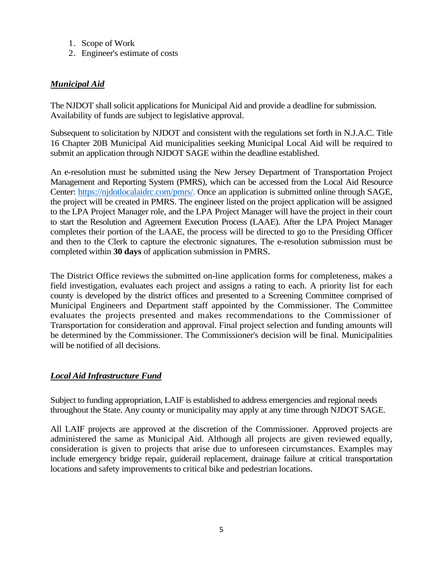- 1. Scope of Work
- 2. Engineer's estimate of costs

### *Municipal Aid*

The NJDOT shall solicit applications for Municipal Aid and provide a deadline for submission. Availability of funds are subject to legislative approval.

Subsequent to solicitation by NJDOT and consistent with the regulations set forth in N.J.A.C. Title 16 Chapter 20B Municipal Aid municipalities seeking Municipal Local Aid will be required to submit an application through NJDOT SAGE within the deadline established.

An e-resolution must be submitted using the New Jersey Department of Transportation Project Management and Reporting System (PMRS), which can be accessed from the Local Aid Resource Center: [https://njdotlocalaidrc.com/pmrs/.](https://njdotlocalaidrc.com/pmrs/) Once an application is submitted online through SAGE, the project will be created in PMRS. The engineer listed on the project application will be assigned to the LPA Project Manager role, and the LPA Project Manager will have the project in their court to start the Resolution and Agreement Execution Process (LAAE). After the LPA Project Manager completes their portion of the LAAE, the process will be directed to go to the Presiding Officer and then to the Clerk to capture the electronic signatures. The e-resolution submission must be completed within **30 days** of application submission in PMRS.

The District Office reviews the submitted on-line application forms for completeness, makes a field investigation, evaluates each project and assigns a rating to each. A priority list for each county is developed by the district offices and presented to a Screening Committee comprised of Municipal Engineers and Department staff appointed by the Commissioner. The Committee evaluates the projects presented and makes recommendations to the Commissioner of Transportation for consideration and approval. Final project selection and funding amounts will be determined by the Commissioner. The Commissioner's decision will be final. Municipalities will be notified of all decisions.

### *Local Aid Infrastructure Fund*

Subject to funding appropriation, LAIF is established to address emergencies and regional needs throughout the State. Any county or municipality may apply at any time through NJDOT SAGE.

All LAIF projects are approved at the discretion of the Commissioner. Approved projects are administered the same as Municipal Aid. Although all projects are given reviewed equally, consideration is given to projects that arise due to unforeseen circumstances. Examples may include emergency bridge repair, guiderail replacement, drainage failure at critical transportation locations and safety improvements to critical bike and pedestrian locations.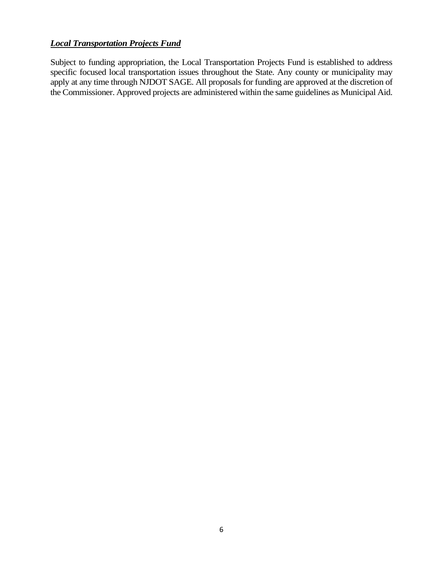### *Local Transportation Projects Fund*

Subject to funding appropriation, the Local Transportation Projects Fund is established to address specific focused local transportation issues throughout the State. Any county or municipality may apply at any time through NJDOT SAGE. All proposals for funding are approved at the discretion of the Commissioner. Approved projects are administered within the same guidelines as Municipal Aid.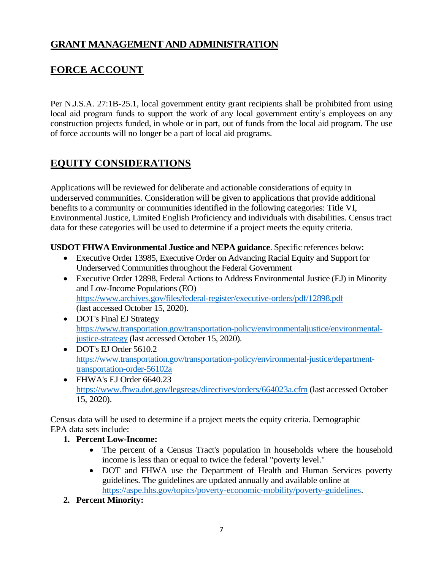# **GRANT MANAGEMENT AND ADMINISTRATION**

# **FORCE ACCOUNT**

Per N.J.S.A. 27:1B-25.1, local government entity grant recipients shall be prohibited from using local aid program funds to support the work of any local government entity's employees on any construction projects funded, in whole or in part, out of funds from the local aid program. The use of force accounts will no longer be a part of local aid programs.

# **EQUITY CONSIDERATIONS**

Applications will be reviewed for deliberate and actionable considerations of equity in underserved communities. Consideration will be given to applications that provide additional benefits to a community or communities identified in the following categories: Title VI, Environmental Justice, Limited English Proficiency and individuals with disabilities. Census tract data for these categories will be used to determine if a project meets the equity criteria.

### **USDOT FHWA Environmental Justice and NEPA guidance**. Specific references below:

- Executive Order 13985, Executive Order on Advancing Racial Equity and Support for Underserved Communities throughout the Federal Government
- Executive Order 12898, Federal Actions to Address Environmental Justice (EJ) in Minority and Low-Income Populations (EO) <https://www.archives.gov/files/federal-register/executive-orders/pdf/12898.pdf> (last accessed October 15, 2020).
- DOT's Final EJ Strategy [https://www.transportation.gov/transportation-policy/environmentaljustice/environmental](https://www.transportation.gov/transportation-policy/environmental-justice/environmental-justice-strategy)[justice-strategy](https://www.transportation.gov/transportation-policy/environmental-justice/environmental-justice-strategy) (last accessed October 15, 2020).
- DOT's EJ Order 5610.2 [https://www.transportation.gov/transportation-policy/environmental-justice/department](https://www.transportation.gov/transportation-policy/environmental-justice/department-transportation-order-56102a)[transportation-order-56102a](https://www.transportation.gov/transportation-policy/environmental-justice/department-transportation-order-56102a)
- FHWA's EJ Order 6640.23 <https://www.fhwa.dot.gov/legsregs/directives/orders/664023a.cfm> (last accessed October 15, 2020).

Census data will be used to determine if a project meets the equity criteria. Demographic EPA data sets include:

- **1. Percent Low-Income:** 
	- The percent of a Census Tract's population in households where the household income is less than or equal to twice the federal "poverty level."
	- DOT and FHWA use the Department of Health and Human Services poverty guidelines. The guidelines are updated annually and available online at [https://aspe.hhs.gov/topics/poverty-economic-mobility/poverty-guidelines.](https://aspe.hhs.gov/topics/poverty-economic-mobility/poverty-guidelines)
- **2. Percent Minority:**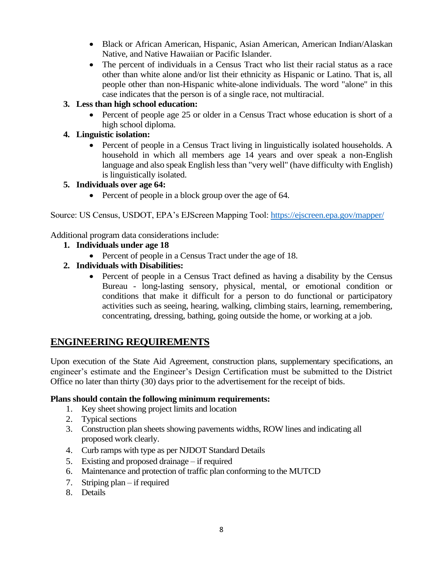- Black or African American, Hispanic, Asian American, American Indian/Alaskan Native, and Native Hawaiian or Pacific Islander.
- The percent of individuals in a Census Tract who list their racial status as a race other than white alone and/or list their ethnicity as Hispanic or Latino. That is, all people other than non-Hispanic white-alone individuals. The word "alone" in this case indicates that the person is of a single race, not multiracial.

#### **3. Less than high school education:**

• Percent of people age 25 or older in a Census Tract whose education is short of a high school diploma.

### **4. Linguistic isolation:**

• Percent of people in a Census Tract living in linguistically isolated households. A household in which all members age 14 years and over speak a non-English language and also speak English less than "very well" (have difficulty with English) is linguistically isolated.

#### **5. Individuals over age 64:**

• Percent of people in a block group over the age of 64.

Source: US Census, USDOT, EPA's EJScreen Mapping Tool:<https://ejscreen.epa.gov/mapper/>

Additional program data considerations include:

- **1. Individuals under age 18**
	- Percent of people in a Census Tract under the age of 18.
- **2. Individuals with Disabilities:**
	- Percent of people in a Census Tract defined as having a disability by the Census Bureau - long-lasting sensory, physical, mental, or emotional condition or conditions that make it difficult for a person to do functional or participatory activities such as seeing, hearing, walking, climbing stairs, learning, remembering, concentrating, dressing, bathing, going outside the home, or working at a job.

# **ENGINEERING REQUIREMENTS**

Upon execution of the State Aid Agreement, construction plans, supplementary specifications, an engineer's estimate and the Engineer's Design Certification must be submitted to the District Office no later than thirty (30) days prior to the advertisement for the receipt of bids.

#### **Plans should contain the following minimum requirements:**

- 1. Key sheet showing project limits and location
- 2. Typical sections
- 3. Construction plan sheets showing pavements widths, ROW lines and indicating all proposed work clearly.
- 4. Curb ramps with type as per NJDOT Standard Details
- 5. Existing and proposed drainage if required
- 6. Maintenance and protection of traffic plan conforming to the MUTCD
- 7. Striping plan if required
- 8. Details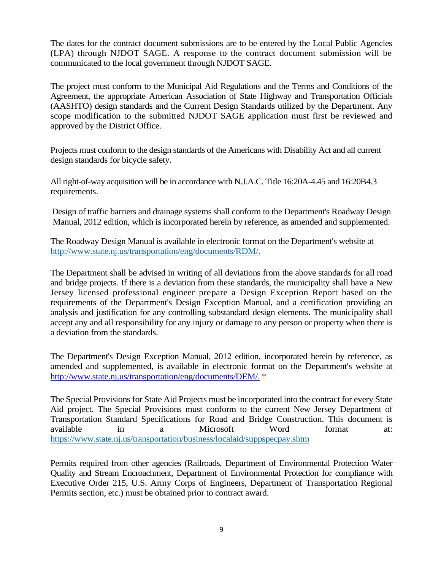The dates for the contract document submissions are to be entered by the Local Public Agencies (LPA) through NJDOT SAGE. A response to the contract document submission will be communicated to the local government through NJDOT SAGE.

The project must conform to the Municipal Aid Regulations and the Terms and Conditions of the Agreement, the appropriate American Association of State Highway and Transportation Officials (AASHTO) design standards and the Current Design Standards utilized by the Department. Any scope modification to the submitted NJDOT SAGE application must first be reviewed and approved by the District Office.

Projects must conform to the design standards of the Americans with Disability Act and all current design standards for bicycle safety.

All right-of-way acquisition will be in accordance with N.J.A.C. Title 16:20A-4.45 and 16:20B4.3 requirements.

Design of traffic barriers and drainage systems shall conform to the Department's Roadway Design Manual, 2012 edition, which is incorporated herein by reference, as amended and supplemented.

The Roadway Design Manual is available in electronic format on the Department's website at [http://www.state.nj.us/transportation/eng/documents/RDM/.](http://www.state.nj.us/transportation/eng/documents/RDM/)

The Department shall be advised in writing of all deviations from the above standards for all road and bridge projects. If there is a deviation from these standards, the municipality shall have a New Jersey licensed professional engineer prepare a Design Exception Report based on the requirements of the Department's Design Exception Manual, and a certification providing an analysis and justification for any controlling substandard design elements. The municipality shall accept any and all responsibility for any injury or damage to any person or property when there is a deviation from the standards.

The Department's Design Exception Manual, 2012 edition, incorporated herein by reference, as amended and supplemented, is available in electronic format on the Department's website at [http://www.state.nj.us/transportation/eng/documents/DEM/.](http://www.state.nj.us/transportation/eng/documents/DEM/) \*

The Special Provisions for State Aid Projects must be incorporated into the contract for every State Aid project. The Special Provisions must conform to the current New Jersey Department of Transportation Standard Specifications for Road and Bridge Construction. This document is available in a Microsoft Word format at: <https://www.state.nj.us/transportation/business/localaid/suppspecpay.shtm>

Permits required from other agencies (Railroads, Department of Environmental Protection Water Quality and Stream Encroachment, Department of Environmental Protection for compliance with Executive Order 215, U.S. Army Corps of Engineers, Department of Transportation Regional Permits section, etc.) must be obtained prior to contract award.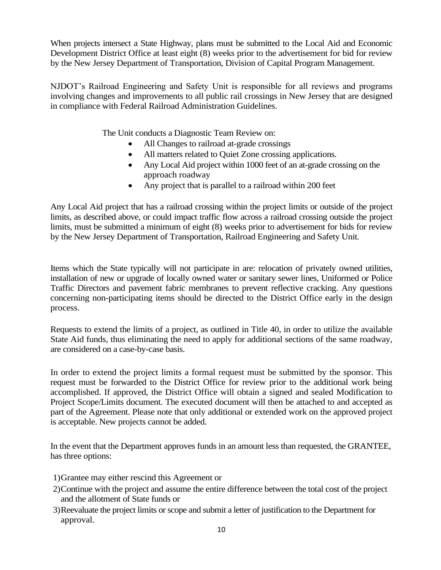When projects intersect a State Highway, plans must be submitted to the Local Aid and Economic Development District Office at least eight (8) weeks prior to the advertisement for bid for review by the New Jersey Department of Transportation, Division of Capital Program Management.

NJDOT's Railroad Engineering and Safety Unit is responsible for all reviews and programs involving changes and improvements to all public rail crossings in New Jersey that are designed in compliance with Federal Railroad Administration Guidelines.

The Unit conducts a Diagnostic Team Review on:

- All Changes to railroad at-grade crossings
- All matters related to Quiet Zone crossing applications.
- Any Local Aid project within 1000 feet of an at-grade crossing on the approach roadway
- Any project that is parallel to a railroad within 200 feet

Any Local Aid project that has a railroad crossing within the project limits or outside of the project limits, as described above, or could impact traffic flow across a railroad crossing outside the project limits, must be submitted a minimum of eight (8) weeks prior to advertisement for bids for review by the New Jersey Department of Transportation, Railroad Engineering and Safety Unit*.*

Items which the State typically will not participate in are: relocation of privately owned utilities, installation of new or upgrade of locally owned water or sanitary sewer lines, Uniformed or Police Traffic Directors and pavement fabric membranes to prevent reflective cracking. Any questions concerning non-participating items should be directed to the District Office early in the design process.

Requests to extend the limits of a project, as outlined in Title 40, in order to utilize the available State Aid funds, thus eliminating the need to apply for additional sections of the same roadway, are considered on a case-by-case basis.

In order to extend the project limits a formal request must be submitted by the sponsor. This request must be forwarded to the District Office for review prior to the additional work being accomplished. If approved, the District Office will obtain a signed and sealed Modification to Project Scope/Limits document. The executed document will then be attached to and accepted as part of the Agreement. Please note that only additional or extended work on the approved project is acceptable. New projects cannot be added.

In the event that the Department approves funds in an amount less than requested, the GRANTEE, has three options:

- 1)Grantee may either rescind this Agreement or
- 2)Continue with the project and assume the entire difference between the total cost of the project and the allotment of State funds or
- 3)Reevaluate the project limits or scope and submit a letter of justification to the Department for approval.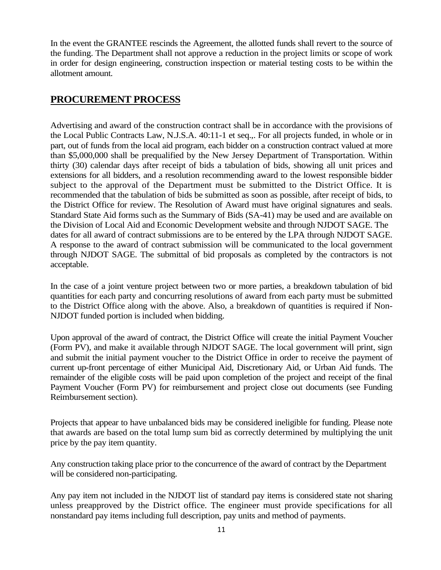In the event the GRANTEE rescinds the Agreement, the allotted funds shall revert to the source of the funding. The Department shall not approve a reduction in the project limits or scope of work in order for design engineering, construction inspection or material testing costs to be within the allotment amount.

# **PROCUREMENT PROCESS**

Advertising and award of the construction contract shall be in accordance with the provisions of the Local Public Contracts Law, N.J.S.A. 40:11-1 et seq.,. For all projects funded, in whole or in part, out of funds from the local aid program, each bidder on a construction contract valued at more than \$5,000,000 shall be prequalified by the New Jersey Department of Transportation. Within thirty (30) calendar days after receipt of bids a tabulation of bids, showing all unit prices and extensions for all bidders, and a resolution recommending award to the lowest responsible bidder subject to the approval of the Department must be submitted to the District Office. It is recommended that the tabulation of bids be submitted as soon as possible, after receipt of bids, to the District Office for review. The Resolution of Award must have original signatures and seals. Standard State Aid forms such as the Summary of Bids (SA-41) may be used and are available on the Division of Local Aid and Economic Development website and through NJDOT SAGE. The dates for all award of contract submissions are to be entered by the LPA through NJDOT SAGE. A response to the award of contract submission will be communicated to the local government through NJDOT SAGE. The submittal of bid proposals as completed by the contractors is not acceptable.

In the case of a joint venture project between two or more parties, a breakdown tabulation of bid quantities for each party and concurring resolutions of award from each party must be submitted to the District Office along with the above. Also, a breakdown of quantities is required if Non-NJDOT funded portion is included when bidding.

Upon approval of the award of contract, the District Office will create the initial Payment Voucher (Form PV), and make it available through NJDOT SAGE. The local government will print, sign and submit the initial payment voucher to the District Office in order to receive the payment of current up-front percentage of either Municipal Aid, Discretionary Aid, or Urban Aid funds. The remainder of the eligible costs will be paid upon completion of the project and receipt of the final Payment Voucher (Form PV) for reimbursement and project close out documents (see Funding Reimbursement section).

Projects that appear to have unbalanced bids may be considered ineligible for funding. Please note that awards are based on the total lump sum bid as correctly determined by multiplying the unit price by the pay item quantity.

Any construction taking place prior to the concurrence of the award of contract by the Department will be considered non-participating.

Any pay item not included in the NJDOT list of standard pay items is considered state not sharing unless preapproved by the District office. The engineer must provide specifications for all nonstandard pay items including full description, pay units and method of payments.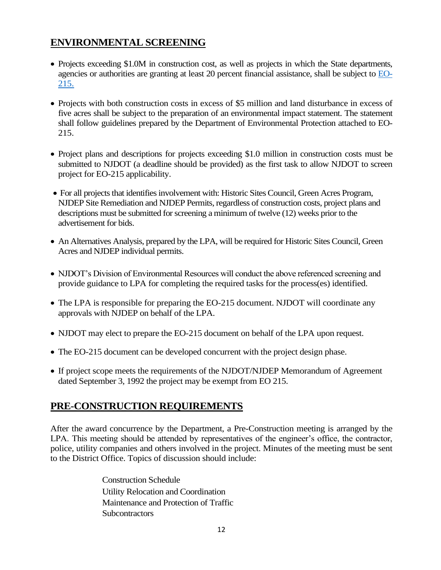# **ENVIRONMENTAL SCREENING**

- Projects exceeding \$1.0M in construction cost, as well as projects in which the State departments, agencies or authorities are granting at least 20 percent financial assistance, shall be subject to [EO-](https://www.state.nj.us/transportation/business/localaid/documents/EO-215ExecutiveOrder-MOU.pdf)[215.](https://www.state.nj.us/transportation/business/localaid/documents/EO-215ExecutiveOrder-MOU.pdf)
- Projects with both construction costs in excess of \$5 million and land disturbance in excess of five acres shall be subject to the preparation of an environmental impact statement. The statement shall follow guidelines prepared by the Department of Environmental Protection attached to EO-215.
- Project plans and descriptions for projects exceeding \$1.0 million in construction costs must be submitted to NJDOT (a deadline should be provided) as the first task to allow NJDOT to screen project for EO-215 applicability.
- For all projects that identifies involvement with: Historic Sites Council, Green Acres Program, NJDEP Site Remediation and NJDEP Permits, regardless of construction costs, project plans and descriptions must be submitted for screening a minimum of twelve (12) weeks prior to the advertisement for bids.
- An Alternatives Analysis, prepared by the LPA, will be required for Historic Sites Council, Green Acres and NJDEP individual permits.
- NJDOT's Division of Environmental Resources will conduct the above referenced screening and provide guidance to LPA for completing the required tasks for the process(es) identified.
- The LPA is responsible for preparing the EO-215 document. NJDOT will coordinate any approvals with NJDEP on behalf of the LPA.
- NJDOT may elect to prepare the EO-215 document on behalf of the LPA upon request.
- The EO-215 document can be developed concurrent with the project design phase.
- If project scope meets the requirements of the NJDOT/NJDEP Memorandum of Agreement dated September 3, 1992 the project may be exempt from EO 215.

# **PRE-CONSTRUCTION REQUIREMENTS**

After the award concurrence by the Department, a Pre-Construction meeting is arranged by the LPA. This meeting should be attended by representatives of the engineer's office, the contractor, police, utility companies and others involved in the project. Minutes of the meeting must be sent to the District Office. Topics of discussion should include:

> Construction Schedule Utility Relocation and Coordination Maintenance and Protection of Traffic **Subcontractors**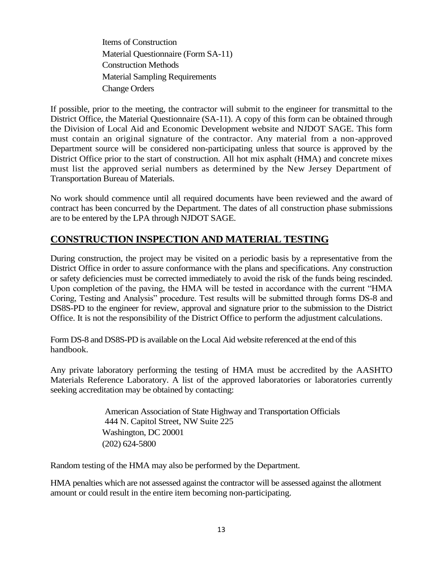Items of Construction Material Questionnaire (Form SA-11) Construction Methods Material Sampling Requirements Change Orders

If possible, prior to the meeting, the contractor will submit to the engineer for transmittal to the District Office, the Material Questionnaire (SA-11). A copy of this form can be obtained through the Division of Local Aid and Economic Development website and NJDOT SAGE. This form must contain an original signature of the contractor. Any material from a non-approved Department source will be considered non-participating unless that source is approved by the District Office prior to the start of construction. All hot mix asphalt (HMA) and concrete mixes must list the approved serial numbers as determined by the New Jersey Department of Transportation Bureau of Materials.

No work should commence until all required documents have been reviewed and the award of contract has been concurred by the Department. The dates of all construction phase submissions are to be entered by the LPA through NJDOT SAGE.

# **CONSTRUCTION INSPECTION AND MATERIAL TESTING**

During construction, the project may be visited on a periodic basis by a representative from the District Office in order to assure conformance with the plans and specifications. Any construction or safety deficiencies must be corrected immediately to avoid the risk of the funds being rescinded. Upon completion of the paving, the HMA will be tested in accordance with the current "HMA Coring, Testing and Analysis" procedure. Test results will be submitted through forms DS-8 and DS8S-PD to the engineer for review, approval and signature prior to the submission to the District Office. It is not the responsibility of the District Office to perform the adjustment calculations.

Form DS-8 and DS8S-PD is available on the Local Aid website referenced at the end of this handbook.

Any private laboratory performing the testing of HMA must be accredited by the AASHTO Materials Reference Laboratory. A list of the approved laboratories or laboratories currently seeking accreditation may be obtained by contacting:

> American Association of State Highway and Transportation Officials 444 N. Capitol Street, NW Suite 225 Washington, DC 20001 (202) 624-5800

Random testing of the HMA may also be performed by the Department.

HMA penalties which are not assessed against the contractor will be assessed against the allotment amount or could result in the entire item becoming non-participating.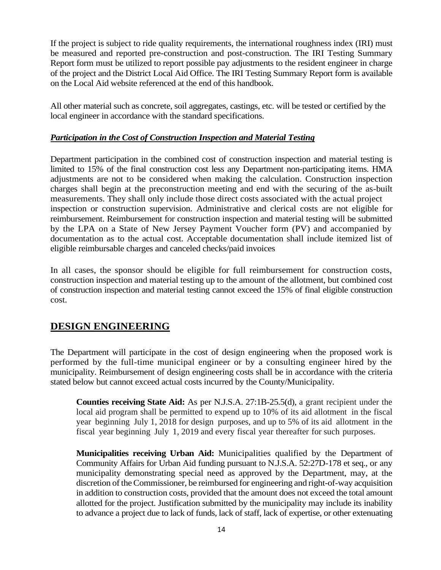If the project is subject to ride quality requirements, the international roughness index (IRI) must be measured and reported pre-construction and post-construction. The IRI Testing Summary Report form must be utilized to report possible pay adjustments to the resident engineer in charge of the project and the District Local Aid Office. The IRI Testing Summary Report form is available on the Local Aid website referenced at the end of this handbook.

All other material such as concrete, soil aggregates, castings, etc. will be tested or certified by the local engineer in accordance with the standard specifications.

#### *Participation in the Cost of Construction Inspection and Material Testing*

Department participation in the combined cost of construction inspection and material testing is limited to 15% of the final construction cost less any Department non-participating items. HMA adjustments are not to be considered when making the calculation. Construction inspection charges shall begin at the preconstruction meeting and end with the securing of the as-built measurements. They shall only include those direct costs associated with the actual project inspection or construction supervision. Administrative and clerical costs are not eligible for reimbursement. Reimbursement for construction inspection and material testing will be submitted by the LPA on a State of New Jersey Payment Voucher form (PV) and accompanied by documentation as to the actual cost. Acceptable documentation shall include itemized list of eligible reimbursable charges and canceled checks/paid invoices

In all cases, the sponsor should be eligible for full reimbursement for construction costs, construction inspection and material testing up to the amount of the allotment, but combined cost of construction inspection and material testing cannot exceed the 15% of final eligible construction cost.

# **DESIGN ENGINEERING**

The Department will participate in the cost of design engineering when the proposed work is performed by the full-time municipal engineer or by a consulting engineer hired by the municipality. Reimbursement of design engineering costs shall be in accordance with the criteria stated below but cannot exceed actual costs incurred by the County/Municipality.

**Counties receiving State Aid:** As per N.J.S.A. 27:1B-25.5(d), a grant recipient under the local aid program shall be permitted to expend up to 10% of its aid allotment in the fiscal year beginning July 1, 2018 for design purposes, and up to 5% of its aid allotment in the fiscal year beginning July 1, 2019 and every fiscal year thereafter for such purposes.

**Municipalities receiving Urban Aid:** Municipalities qualified by the Department of Community Affairs for Urban Aid funding pursuant to N.J.S.A. 52:27D-178 et seq., or any municipality demonstrating special need as approved by the Department, may, at the discretion of the Commissioner, be reimbursed for engineering and right-of-way acquisition in addition to construction costs, provided that the amount does not exceed the total amount allotted for the project. Justification submitted by the municipality may include its inability to advance a project due to lack of funds, lack of staff, lack of expertise, or other extenuating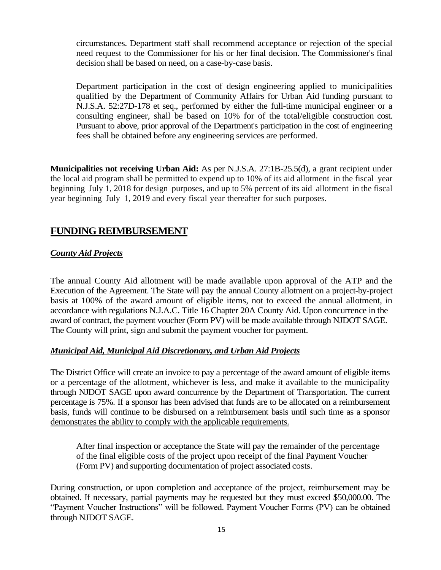circumstances. Department staff shall recommend acceptance or rejection of the special need request to the Commissioner for his or her final decision. The Commissioner's final decision shall be based on need, on a case-by-case basis.

Department participation in the cost of design engineering applied to municipalities qualified by the Department of Community Affairs for Urban Aid funding pursuant to N.J.S.A. 52:27D-178 et seq., performed by either the full-time municipal engineer or a consulting engineer, shall be based on 10% for of the total/eligible construction cost. Pursuant to above, prior approval of the Department's participation in the cost of engineering fees shall be obtained before any engineering services are performed.

**Municipalities not receiving Urban Aid:** As per N.J.S.A. 27:1B-25.5(d), a grant recipient under the local aid program shall be permitted to expend up to 10% of its aid allotment in the fiscal year beginning July 1, 2018 for design purposes, and up to 5% percent of its aid allotment in the fiscal year beginning July 1, 2019 and every fiscal year thereafter for such purposes.

# **FUNDING REIMBURSEMENT**

#### *County Aid Projects*

The annual County Aid allotment will be made available upon approval of the ATP and the Execution of the Agreement. The State will pay the annual County allotment on a project-by-project basis at 100% of the award amount of eligible items, not to exceed the annual allotment, in accordance with regulations N.J.A.C. Title 16 Chapter 20A County Aid. Upon concurrence in the award of contract, the payment voucher (Form PV) will be made available through NJDOT SAGE. The County will print, sign and submit the payment voucher for payment.

#### *Municipal Aid, Municipal Aid Discretionary, and Urban Aid Projects*

The District Office will create an invoice to pay a percentage of the award amount of eligible items or a percentage of the allotment, whichever is less, and make it available to the municipality through NJDOT SAGE upon award concurrence by the Department of Transportation. The current percentage is 75%. If a sponsor has been advised that funds are to be allocated on a reimbursement basis, funds will continue to be disbursed on a reimbursement basis until such time as a sponsor demonstrates the ability to comply with the applicable requirements.

After final inspection or acceptance the State will pay the remainder of the percentage of the final eligible costs of the project upon receipt of the final Payment Voucher (Form PV) and supporting documentation of project associated costs.

During construction, or upon completion and acceptance of the project, reimbursement may be obtained. If necessary, partial payments may be requested but they must exceed \$50,000.00. The "Payment Voucher Instructions" will be followed. Payment Voucher Forms (PV) can be obtained through NJDOT SAGE.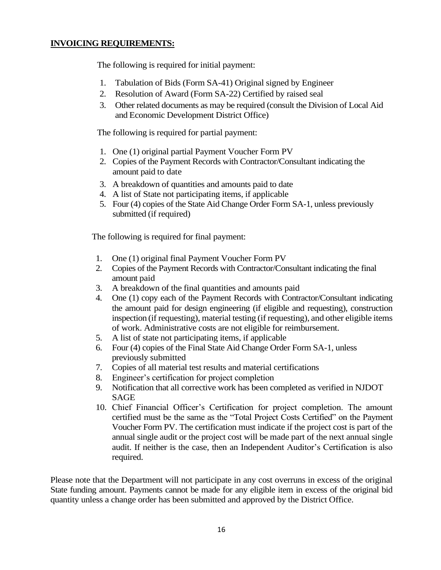#### **INVOICING REQUIREMENTS:**

The following is required for initial payment:

- 1. Tabulation of Bids (Form SA-41) Original signed by Engineer
- 2. Resolution of Award (Form SA-22) Certified by raised seal
- 3. Other related documents as may be required (consult the Division of Local Aid and Economic Development District Office)

The following is required for partial payment:

- 1. One (1) original partial Payment Voucher Form PV
- 2. Copies of the Payment Records with Contractor/Consultant indicating the amount paid to date
- 3. A breakdown of quantities and amounts paid to date
- 4. A list of State not participating items, if applicable
- 5. Four (4) copies of the State Aid Change Order Form SA-1, unless previously submitted (if required)

The following is required for final payment:

- 1. One (1) original final Payment Voucher Form PV
- 2. Copies of the Payment Records with Contractor/Consultant indicating the final amount paid
- 3. A breakdown of the final quantities and amounts paid
- 4. One (1) copy each of the Payment Records with Contractor/Consultant indicating the amount paid for design engineering (if eligible and requesting), construction inspection (if requesting), material testing (if requesting), and other eligible items of work. Administrative costs are not eligible for reimbursement.
- 5. A list of state not participating items, if applicable
- 6. Four (4) copies of the Final State Aid Change Order Form SA-1, unless previously submitted
- 7. Copies of all material test results and material certifications
- 8. Engineer's certification for project completion
- 9. Notification that all corrective work has been completed as verified in NJDOT SAGE
- 10. Chief Financial Officer's Certification for project completion. The amount certified must be the same as the "Total Project Costs Certified" on the Payment Voucher Form PV. The certification must indicate if the project cost is part of the annual single audit or the project cost will be made part of the next annual single audit. If neither is the case, then an Independent Auditor's Certification is also required.

Please note that the Department will not participate in any cost overruns in excess of the original State funding amount. Payments cannot be made for any eligible item in excess of the original bid quantity unless a change order has been submitted and approved by the District Office.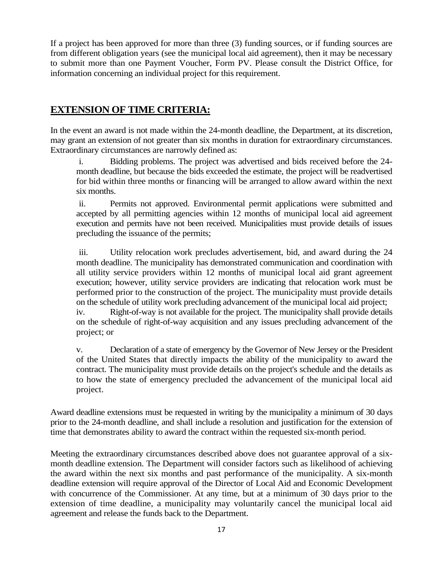If a project has been approved for more than three (3) funding sources, or if funding sources are from different obligation years (see the municipal local aid agreement), then it may be necessary to submit more than one Payment Voucher, Form PV. Please consult the District Office, for information concerning an individual project for this requirement.

# **EXTENSION OF TIME CRITERIA:**

In the event an award is not made within the 24-month deadline, the Department, at its discretion, may grant an extension of not greater than six months in duration for extraordinary circumstances. Extraordinary circumstances are narrowly defined as:

i. Bidding problems. The project was advertised and bids received before the 24 month deadline, but because the bids exceeded the estimate, the project will be readvertised for bid within three months or financing will be arranged to allow award within the next six months.

ii. Permits not approved. Environmental permit applications were submitted and accepted by all permitting agencies within 12 months of municipal local aid agreement execution and permits have not been received. Municipalities must provide details of issues precluding the issuance of the permits;

iii. Utility relocation work precludes advertisement, bid, and award during the 24 month deadline. The municipality has demonstrated communication and coordination with all utility service providers within 12 months of municipal local aid grant agreement execution; however, utility service providers are indicating that relocation work must be performed prior to the construction of the project. The municipality must provide details on the schedule of utility work precluding advancement of the municipal local aid project;

iv. Right-of-way is not available for the project. The municipality shall provide details on the schedule of right-of-way acquisition and any issues precluding advancement of the project; or

v. Declaration of a state of emergency by the Governor of New Jersey or the President of the United States that directly impacts the ability of the municipality to award the contract. The municipality must provide details on the project's schedule and the details as to how the state of emergency precluded the advancement of the municipal local aid project.

Award deadline extensions must be requested in writing by the municipality a minimum of 30 days prior to the 24-month deadline, and shall include a resolution and justification for the extension of time that demonstrates ability to award the contract within the requested six-month period.

Meeting the extraordinary circumstances described above does not guarantee approval of a sixmonth deadline extension. The Department will consider factors such as likelihood of achieving the award within the next six months and past performance of the municipality. A six-month deadline extension will require approval of the Director of Local Aid and Economic Development with concurrence of the Commissioner. At any time, but at a minimum of 30 days prior to the extension of time deadline, a municipality may voluntarily cancel the municipal local aid agreement and release the funds back to the Department.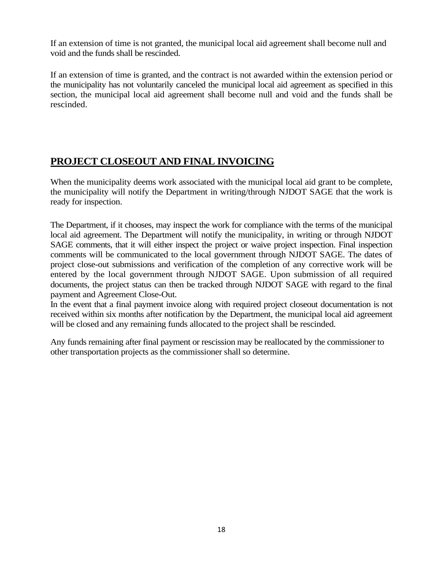If an extension of time is not granted, the municipal local aid agreement shall become null and void and the funds shall be rescinded.

If an extension of time is granted, and the contract is not awarded within the extension period or the municipality has not voluntarily canceled the municipal local aid agreement as specified in this section, the municipal local aid agreement shall become null and void and the funds shall be rescinded.

# **PROJECT CLOSEOUT AND FINAL INVOICING**

When the municipality deems work associated with the municipal local aid grant to be complete, the municipality will notify the Department in writing/through NJDOT SAGE that the work is ready for inspection.

The Department, if it chooses, may inspect the work for compliance with the terms of the municipal local aid agreement. The Department will notify the municipality, in writing or through NJDOT SAGE comments, that it will either inspect the project or waive project inspection. Final inspection comments will be communicated to the local government through NJDOT SAGE. The dates of project close-out submissions and verification of the completion of any corrective work will be entered by the local government through NJDOT SAGE. Upon submission of all required documents, the project status can then be tracked through NJDOT SAGE with regard to the final payment and Agreement Close-Out.

In the event that a final payment invoice along with required project closeout documentation is not received within six months after notification by the Department, the municipal local aid agreement will be closed and any remaining funds allocated to the project shall be rescinded.

Any funds remaining after final payment or rescission may be reallocated by the commissioner to other transportation projects as the commissioner shall so determine.